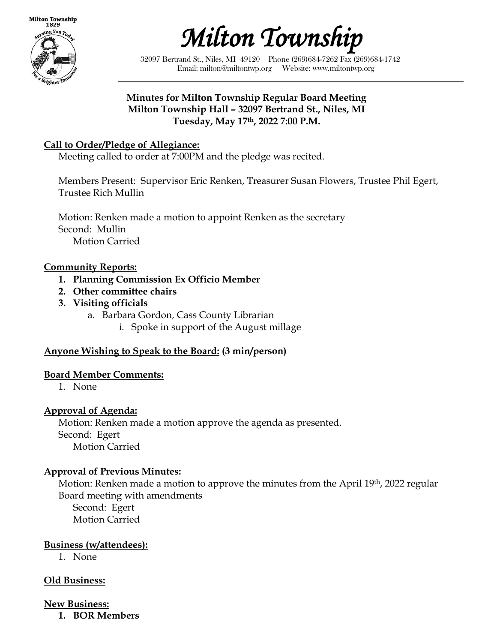

*Milton Township* 

32097 Bertrand St., Niles, MI 49120 Phone (269)684-7262 Fax (269)684-1742 Email: milton@miltontwp.org Website: www.miltontwp.org

#### **Minutes for Milton Township Regular Board Meeting Milton Township Hall – 32097 Bertrand St., Niles, MI Tuesday, May 17th, 2022 7:00 P.M.**

#### **Call to Order/Pledge of Allegiance:**

Meeting called to order at 7:00PM and the pledge was recited.

Members Present: Supervisor Eric Renken, Treasurer Susan Flowers, Trustee Phil Egert, Trustee Rich Mullin

Motion: Renken made a motion to appoint Renken as the secretary Second: Mullin Motion Carried

#### **Community Reports:**

- **1. Planning Commission Ex Officio Member**
- **2. Other committee chairs**
- **3. Visiting officials**
	- a. Barbara Gordon, Cass County Librarian
		- i. Spoke in support of the August millage

## **Anyone Wishing to Speak to the Board: (3 min/person)**

#### **Board Member Comments:**

1. None

## **Approval of Agenda:**

Motion: Renken made a motion approve the agenda as presented. Second: Egert Motion Carried

## **Approval of Previous Minutes:**

Motion: Renken made a motion to approve the minutes from the April 19th, 2022 regular Board meeting with amendments

Second: Egert Motion Carried

## **Business (w/attendees):**

1. None

## **Old Business:**

**New Business:**

**1. BOR Members**